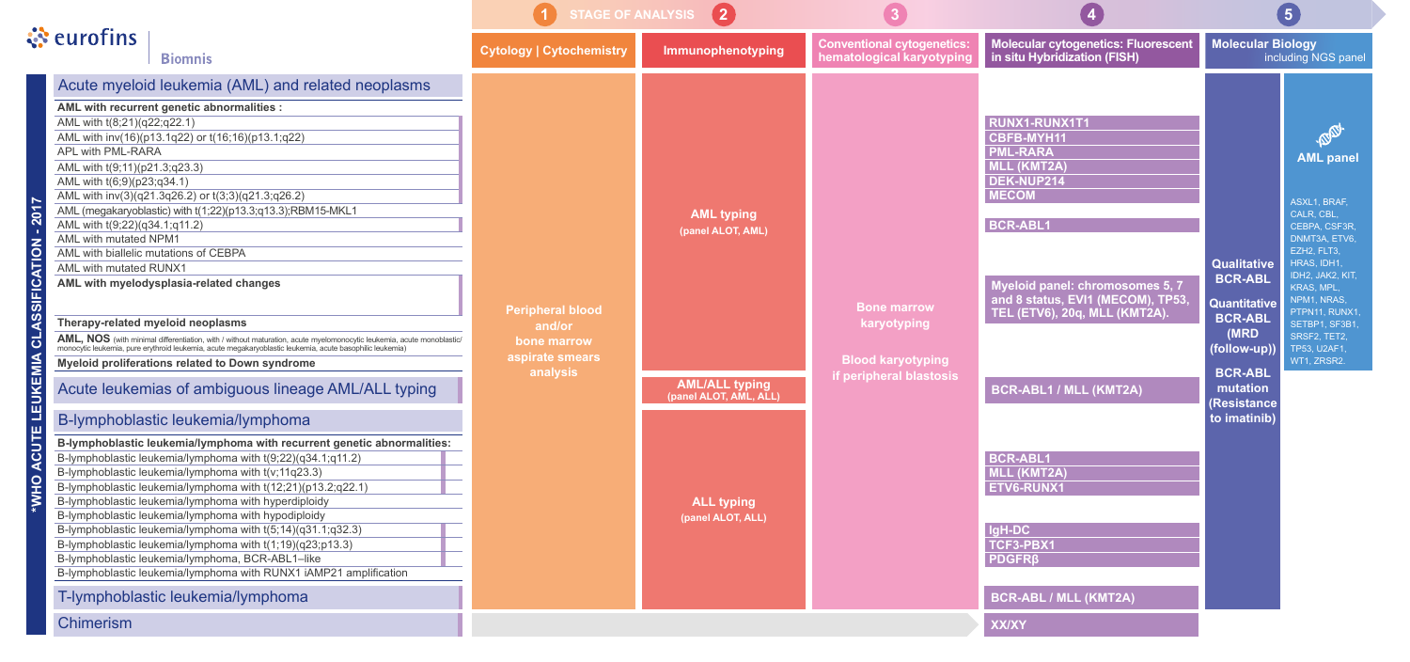|                                                           |                                                                                                                                                                                                                                                                                                                                                                                                                                                                                                                                                                                                                                                                                                                                                                                                                                                                                                                                                                                                                                                                                                                                                                                                                                                                                                                                                                                                                                                                                                                                                                                                                                                                                | $\boxed{2}$<br><b>STAGE OF ANALYSIS</b>                                         |                                                                                                                                     |                                                                                          |                                                                                                                                                                                                                                                                                                                                                                                                                         |                                                                                                                                                                   |  |
|-----------------------------------------------------------|--------------------------------------------------------------------------------------------------------------------------------------------------------------------------------------------------------------------------------------------------------------------------------------------------------------------------------------------------------------------------------------------------------------------------------------------------------------------------------------------------------------------------------------------------------------------------------------------------------------------------------------------------------------------------------------------------------------------------------------------------------------------------------------------------------------------------------------------------------------------------------------------------------------------------------------------------------------------------------------------------------------------------------------------------------------------------------------------------------------------------------------------------------------------------------------------------------------------------------------------------------------------------------------------------------------------------------------------------------------------------------------------------------------------------------------------------------------------------------------------------------------------------------------------------------------------------------------------------------------------------------------------------------------------------------|---------------------------------------------------------------------------------|-------------------------------------------------------------------------------------------------------------------------------------|------------------------------------------------------------------------------------------|-------------------------------------------------------------------------------------------------------------------------------------------------------------------------------------------------------------------------------------------------------------------------------------------------------------------------------------------------------------------------------------------------------------------------|-------------------------------------------------------------------------------------------------------------------------------------------------------------------|--|
|                                                           | $\ddot{\ddot{\cdot}}$ eurofins<br><b>Biomnis</b>                                                                                                                                                                                                                                                                                                                                                                                                                                                                                                                                                                                                                                                                                                                                                                                                                                                                                                                                                                                                                                                                                                                                                                                                                                                                                                                                                                                                                                                                                                                                                                                                                               | <b>Cytology   Cytochemistry</b>                                                 | Immunophenotyping                                                                                                                   | <b>Conventional cytogenetics:</b><br>hematological karyotyping                           | Molecular cytogenetics: Fluorescent<br>in situ Hybridization (FISH)                                                                                                                                                                                                                                                                                                                                                     | <b>Molecular Bio</b><br>incluc                                                                                                                                    |  |
| <b>201</b><br>$\overline{O}$<br>SSIFIC<br>EUKEMIA<br>CUTE | Acute myeloid leukemia (AML) and related neoplasms<br>AML with recurrent genetic abnormalities :<br>AML with t(8;21)(q22;q22.1)<br>AML with inv(16)(p13.1q22) or t(16;16)(p13.1;q22)<br><b>APL with PML-RARA</b><br>AML with t(9;11)(p21.3;q23.3)<br>AML with t(6;9)(p23;q34.1)<br>AML with inv(3)(q21.3q26.2) or t(3;3)(q21.3;q26.2)<br>AML (megakaryoblastic) with t(1;22)(p13.3;q13.3);RBM15-MKL1<br>AML with t(9;22)(q34.1;q11.2)<br>AML with mutated NPM1<br>AML with biallelic mutations of CEBPA<br>AML with mutated RUNX1<br>AML with myelodysplasia-related changes<br>Therapy-related myeloid neoplasms<br>AML, NOS (with minimal differentiation, with / without maturation, acute myelomonocytic leukemia, acute monoblastic/<br>monocytic leukemia, pure erythroid leukemia, acute megakaryoblastic leukemia, acute basophilic leukemia)<br>Myeloid proliferations related to Down syndrome<br>Acute leukemias of ambiguous lineage AML/ALL typing<br>B-lymphoblastic leukemia/lymphoma<br>B-lymphoblastic leukemia/lymphoma with recurrent genetic abnormalities:<br>B-lymphoblastic leukemia/lymphoma with t(9;22)(q34.1;q11.2)<br>B-lymphoblastic leukemia/lymphoma with t(v;11q23.3)<br>B-lymphoblastic leukemia/lymphoma with t(12;21)(p13.2;q22.1)<br>B-lymphoblastic leukemia/lymphoma with hyperdiploidy<br>B-lymphoblastic leukemia/lymphoma with hypodiploidy<br>B-lymphoblastic leukemia/lymphoma with t(5;14)(q31.1;q32.3)<br>B-lymphoblastic leukemia/lymphoma with t(1;19)(q23;p13.3)<br>B-lymphoblastic leukemia/lymphoma, BCR-ABL1-like<br>B-lymphoblastic leukemia/lymphoma with RUNX1 iAMP21 amplification<br>T-lymphoblastic leukemia/lymphoma | <b>Peripheral blood</b><br>and/or<br>bone marrow<br>aspirate smears<br>analysis | <b>AML typing</b><br>(panel ALOT, AML)<br><b>AML/ALL typing</b><br>(panel ALOT, AML, ALL)<br><b>ALL typing</b><br>(panel ALOT, ALL) | <b>Bone marrow</b><br>karyotyping<br><b>Blood karyotyping</b><br>if peripheral blastosis | <b>RUNX1-RUNX1T1</b><br><b>CBFB-MYH11</b><br><b>PML-RARA</b><br><b>MLL (KMT2A)</b><br>DEK-NUP214<br><b>MECOM</b><br><b>BCR-ABL1</b><br>Myeloid panel: chromosomes 5, 7<br>and 8 status, EVI1 (MECOM), TP53,<br>TEL (ETV6), 20q, MLL (KMT2A).<br><b>BCR-ABL1 / MLL (KMT2A)</b><br><b>BCR-ABL1</b><br>MLL (KMT2A)<br><b>ETV6-RUNX1</b><br>IgH-DC<br>TCF3-PBX1<br><b>PDGFR<sub>B</sub></b><br><b>BCR-ABL / MLL (KMT2A)</b> | <b>Qualitative</b><br><b>BCR-ABL</b><br>Quantitative<br><b>BCR-ABL</b><br>(MRD<br>(follow-up))<br><b>BCR-ABL</b><br>mutation<br><b>Resistance</b><br>to imatinib) |  |
|                                                           | <b>Chimerism</b>                                                                                                                                                                                                                                                                                                                                                                                                                                                                                                                                                                                                                                                                                                                                                                                                                                                                                                                                                                                                                                                                                                                                                                                                                                                                                                                                                                                                                                                                                                                                                                                                                                                               |                                                                                 |                                                                                                                                     |                                                                                          | <b>XX/XY</b>                                                                                                                                                                                                                                                                                                                                                                                                            |                                                                                                                                                                   |  |

### **BCR-ABL1 / MLL (KMT2A)**

# **BCR-ABL / MLL (KMT2A)**

**XX/XY**

#### **Molecular cytogenetics: Fluorescent in situ Hybridization (FISH)**

### **RUNX1-RUNX1T1**

- **CBFB-MYH11**
- **PML-RARA**
- **MLL (KMT2A)**
- **DEK-NUP214**
- **MECOM**

#### **BCR-ABL1 MLL (KMT2A) ETV6-RUNX1**

### **BCR-ABL1**

### **IgH-DC**

- **TCF3-PBX1**
- **PDGFRβ**



ASXL1, BRAF, CALR, CBL, CEBPA, CSF3R, DNMT3A, ETV6, EZH2, FLT3, HRAS, IDH1, IDH2, JAK2, KIT, KRAS, MPL, NPM1, NRAS, PTPN11, RUNX1, SETBP1, SF3B1, SRSF2, TET2, TP53, U2AF1, WT1, ZRSR2.

## **Qualitative BCR-ABL**

#### **Molecular Biology** including NGS panel